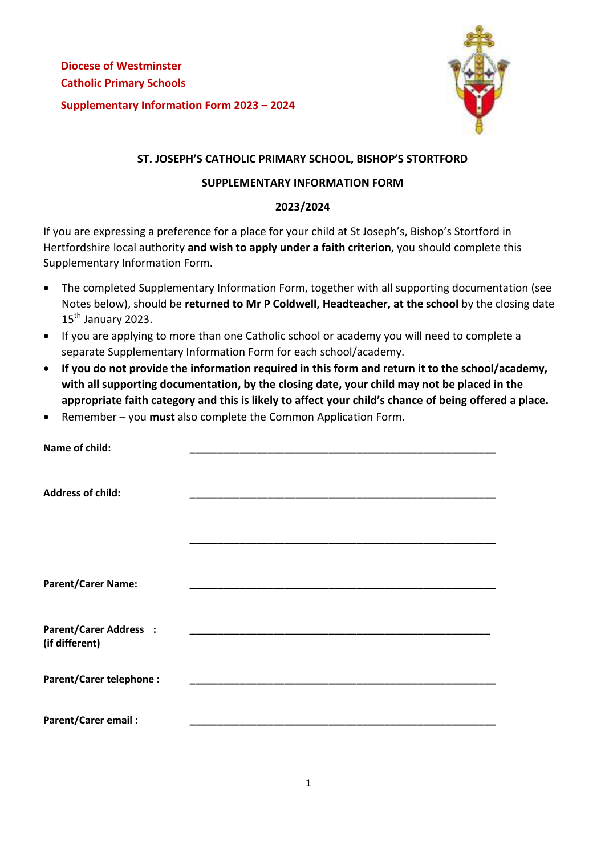

# **ST. JOSEPH'S CATHOLIC PRIMARY SCHOOL, BISHOP'S STORTFORD**

### **SUPPLEMENTARY INFORMATION FORM**

## **2023/2024**

If you are expressing a preference for a place for your child at St Joseph's, Bishop's Stortford in Hertfordshire local authority **and wish to apply under a faith criterion**, you should complete this Supplementary Information Form.

- The completed Supplementary Information Form, together with all supporting documentation (see Notes below), should be **returned to Mr P Coldwell, Headteacher, at the school** by the closing date  $15<sup>th</sup>$  January 2023.
- If you are applying to more than one Catholic school or academy you will need to complete a separate Supplementary Information Form for each school/academy.
- **If you do not provide the information required in this form and return it to the school/academy, with all supporting documentation, by the closing date, your child may not be placed in the appropriate faith category and this is likely to affect your child's chance of being offered a place.**
- Remember you **must** also complete the Common Application Form.

| Name of child:                 |  |
|--------------------------------|--|
|                                |  |
| <b>Address of child:</b>       |  |
|                                |  |
|                                |  |
|                                |  |
| <b>Parent/Carer Name:</b>      |  |
|                                |  |
| <b>Parent/Carer Address :</b>  |  |
| (if different)                 |  |
| <b>Parent/Carer telephone:</b> |  |
|                                |  |
| <b>Parent/Carer email:</b>     |  |
|                                |  |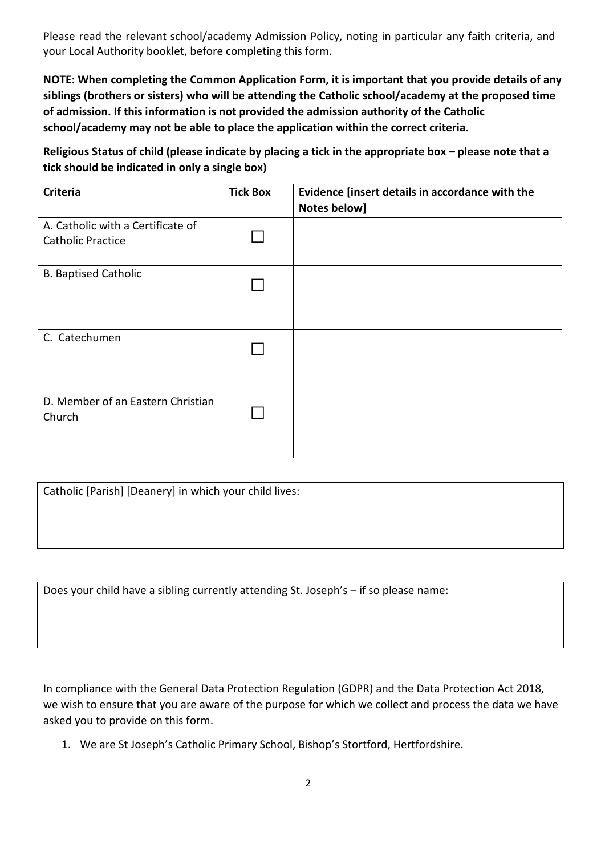Please read the relevant school/academy Admission Policy, noting in particular any faith criteria, and your Local Authority booklet, before completing this form.

**NOTE: When completing the Common Application Form, it is important that you provide details of any siblings (brothers or sisters) who will be attending the Catholic school/academy at the proposed time of admission. If this information is not provided the admission authority of the Catholic school/academy may not be able to place the application within the correct criteria.** 

**Religious Status of child (please indicate by placing a tick in the appropriate box – please note that a tick should be indicated in only a single box)** 

| <b>Criteria</b>                                               | <b>Tick Box</b> | Evidence [insert details in accordance with the<br>Notes below] |
|---------------------------------------------------------------|-----------------|-----------------------------------------------------------------|
| A. Catholic with a Certificate of<br><b>Catholic Practice</b> |                 |                                                                 |
| <b>B. Baptised Catholic</b>                                   |                 |                                                                 |
| C. Catechumen                                                 |                 |                                                                 |
| D. Member of an Eastern Christian<br>Church                   |                 |                                                                 |

Catholic [Parish] [Deanery] in which your child lives:

Does your child have a sibling currently attending St. Joseph's – if so please name:

In compliance with the General Data Protection Regulation (GDPR) and the Data Protection Act 2018, we wish to ensure that you are aware of the purpose for which we collect and process the data we have asked you to provide on this form.

1. We are St Joseph's Catholic Primary School, Bishop's Stortford, Hertfordshire.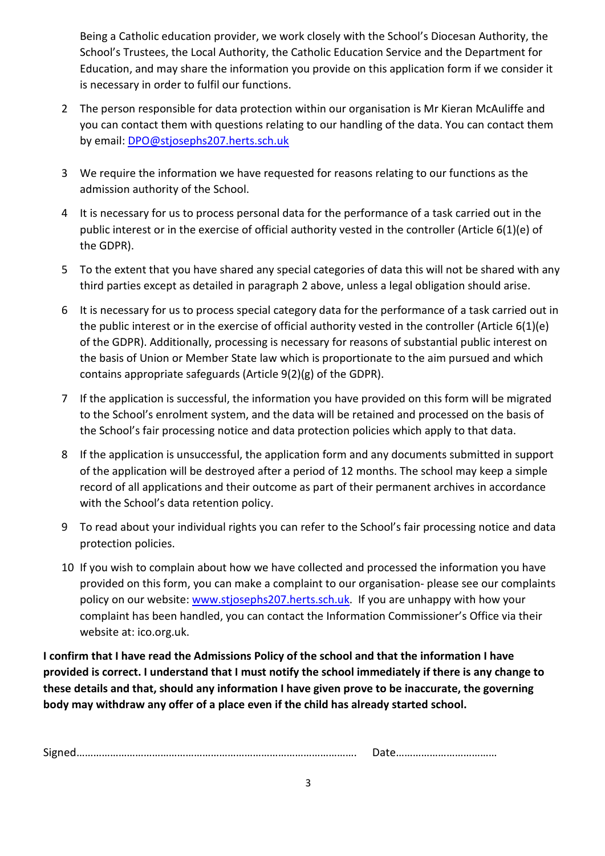Being a Catholic education provider, we work closely with the School's Diocesan Authority, the School's Trustees, the Local Authority, the Catholic Education Service and the Department for Education, and may share the information you provide on this application form if we consider it is necessary in order to fulfil our functions.

- 2 The person responsible for data protection within our organisation is Mr Kieran McAuliffe and you can contact them with questions relating to our handling of the data. You can contact them by email: DPO@stjosephs207.herts.sch.uk
- 3 We require the information we have requested for reasons relating to our functions as the admission authority of the School.
- 4 It is necessary for us to process personal data for the performance of a task carried out in the public interest or in the exercise of official authority vested in the controller (Article 6(1)(e) of the GDPR).
- 5 To the extent that you have shared any special categories of data this will not be shared with any third parties except as detailed in paragraph 2 above, unless a legal obligation should arise.
- 6 It is necessary for us to process special category data for the performance of a task carried out in the public interest or in the exercise of official authority vested in the controller (Article 6(1)(e) of the GDPR). Additionally, processing is necessary for reasons of substantial public interest on the basis of Union or Member State law which is proportionate to the aim pursued and which contains appropriate safeguards (Article 9(2)(g) of the GDPR).
- 7 If the application is successful, the information you have provided on this form will be migrated to the School's enrolment system, and the data will be retained and processed on the basis of the School's fair processing notice and data protection policies which apply to that data.
- 8 If the application is unsuccessful, the application form and any documents submitted in support of the application will be destroyed after a period of 12 months. The school may keep a simple record of all applications and their outcome as part of their permanent archives in accordance with the School's data retention policy.
- 9 To read about your individual rights you can refer to the School's fair processing notice and data protection policies.
- 10 If you wish to complain about how we have collected and processed the information you have provided on this form, you can make a complaint to our organisation- please see our complaints policy on our website: www.stjosephs207.herts.sch.uk. If you are unhappy with how your complaint has been handled, you can contact the Information Commissioner's Office via their website at: ico.org.uk.

**I confirm that I have read the Admissions Policy of the school and that the information I have provided is correct. I understand that I must notify the school immediately if there is any change to these details and that, should any information I have given prove to be inaccurate, the governing body may withdraw any offer of a place even if the child has already started school.** 

|  | - |  |
|--|---|--|
|--|---|--|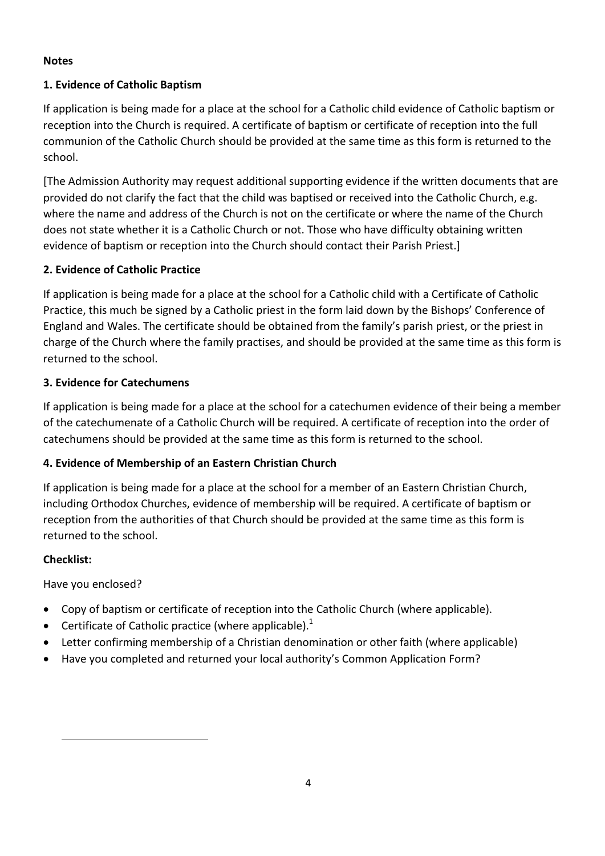## **Notes**

# **1. Evidence of Catholic Baptism**

If application is being made for a place at the school for a Catholic child evidence of Catholic baptism or reception into the Church is required. A certificate of baptism or certificate of reception into the full communion of the Catholic Church should be provided at the same time as this form is returned to the school.

[The Admission Authority may request additional supporting evidence if the written documents that are provided do not clarify the fact that the child was baptised or received into the Catholic Church, e.g. where the name and address of the Church is not on the certificate or where the name of the Church does not state whether it is a Catholic Church or not. Those who have difficulty obtaining written evidence of baptism or reception into the Church should contact their Parish Priest.]

# **2. Evidence of Catholic Practice**

If application is being made for a place at the school for a Catholic child with a Certificate of Catholic Practice, this much be signed by a Catholic priest in the form laid down by the Bishops' Conference of England and Wales. The certificate should be obtained from the family's parish priest, or the priest in charge of the Church where the family practises, and should be provided at the same time as this form is returned to the school.

# **3. Evidence for Catechumens**

If application is being made for a place at the school for a catechumen evidence of their being a member of the catechumenate of a Catholic Church will be required. A certificate of reception into the order of catechumens should be provided at the same time as this form is returned to the school.

# **4. Evidence of Membership of an Eastern Christian Church**

If application is being made for a place at the school for a member of an Eastern Christian Church, including Orthodox Churches, evidence of membership will be required. A certificate of baptism or reception from the authorities of that Church should be provided at the same time as this form is returned to the school.

## **Checklist:**

l

Have you enclosed?

- Copy of baptism or certificate of reception into the Catholic Church (where applicable).
- **•** Certificate of Catholic practice (where applicable).<sup>1</sup>
- Letter confirming membership of a Christian denomination or other faith (where applicable)
- Have you completed and returned your local authority's Common Application Form?